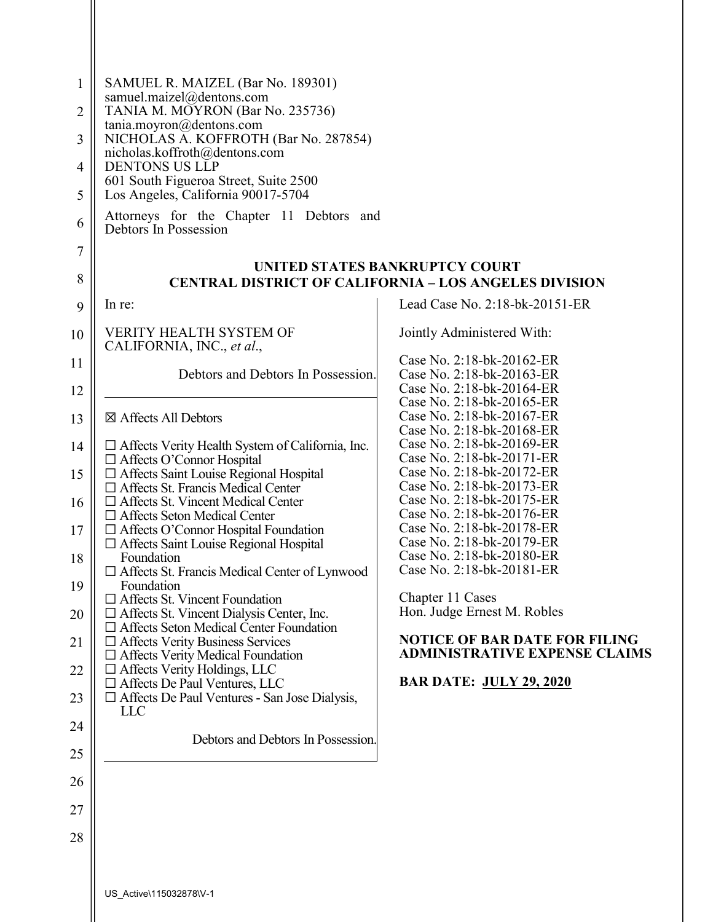| 1<br>$\overline{2}$<br>3<br>4<br>5<br>6<br>7 | SAMUEL R. MAIZEL (Bar No. 189301)<br>samuel.maizel@dentons.com<br>TANIA M. MOYRON (Bar No. 235736)<br>tania.moyron@dentons.com<br>NICHOLAS A. KOFFROTH (Bar No. 287854)<br>nicholas.koffroth@dentons.com<br><b>DENTONS US LLP</b><br>601 South Figueroa Street, Suite 2500<br>Los Angeles, California 90017-5704<br>Attorneys for the Chapter 11 Debtors and<br>Debtors In Possession |                                                              |
|----------------------------------------------|---------------------------------------------------------------------------------------------------------------------------------------------------------------------------------------------------------------------------------------------------------------------------------------------------------------------------------------------------------------------------------------|--------------------------------------------------------------|
|                                              |                                                                                                                                                                                                                                                                                                                                                                                       | UNITED STATES BANKRUPTCY COURT                               |
| 8                                            |                                                                                                                                                                                                                                                                                                                                                                                       | <b>CENTRAL DISTRICT OF CALIFORNIA - LOS ANGELES DIVISION</b> |
| 9                                            | In re:                                                                                                                                                                                                                                                                                                                                                                                | Lead Case No. 2:18-bk-20151-ER                               |
| 10                                           | <b>VERITY HEALTH SYSTEM OF</b><br>CALIFORNIA, INC., et al.,                                                                                                                                                                                                                                                                                                                           | Jointly Administered With:                                   |
| 11                                           |                                                                                                                                                                                                                                                                                                                                                                                       | Case No. 2:18-bk-20162-ER                                    |
| 12                                           | Debtors and Debtors In Possession.                                                                                                                                                                                                                                                                                                                                                    | Case No. 2:18-bk-20163-ER<br>Case No. 2:18-bk-20164-ER       |
| 13                                           | ⊠ Affects All Debtors                                                                                                                                                                                                                                                                                                                                                                 | Case No. 2:18-bk-20165-ER<br>Case No. 2:18-bk-20167-ER       |
| 14                                           |                                                                                                                                                                                                                                                                                                                                                                                       | Case No. 2:18-bk-20168-ER<br>Case No. 2:18-bk-20169-ER       |
|                                              | $\Box$ Affects Verity Health System of California, Inc.<br>$\Box$ Affects O'Connor Hospital                                                                                                                                                                                                                                                                                           | Case No. 2:18-bk-20171-ER                                    |
| 15                                           | □ Affects Saint Louise Regional Hospital                                                                                                                                                                                                                                                                                                                                              | Case No. 2:18-bk-20172-ER                                    |
|                                              | $\Box$ Affects St. Francis Medical Center                                                                                                                                                                                                                                                                                                                                             | Case No. 2:18-bk-20173-ER<br>Case No. 2:18-bk-20175-ER       |
| 16                                           | $\Box$ Affects St. Vincent Medical Center<br>$\Box$ Affects Seton Medical Center                                                                                                                                                                                                                                                                                                      | Case No. 2:18-bk-20176-ER                                    |
| 17                                           | $\Box$ Affects O'Connor Hospital Foundation                                                                                                                                                                                                                                                                                                                                           | Case No. 2:18-bk-20178-ER                                    |
|                                              | $\Box$ Affects Saint Louise Regional Hospital                                                                                                                                                                                                                                                                                                                                         | Case No. 2:18-bk-20179-ER                                    |
| 18                                           | Foundation                                                                                                                                                                                                                                                                                                                                                                            | Case No. 2:18-bk-20180-ER                                    |
|                                              | □ Affects St. Francis Medical Center of Lynwood                                                                                                                                                                                                                                                                                                                                       | Case No. 2:18-bk-20181-ER                                    |
| 19                                           | Foundation<br>$\Box$ Affects St. Vincent Foundation                                                                                                                                                                                                                                                                                                                                   | Chapter 11 Cases                                             |
| 20                                           | $\Box$ Affects St. Vincent Dialysis Center, Inc.                                                                                                                                                                                                                                                                                                                                      | Hon. Judge Ernest M. Robles                                  |
|                                              | $\Box$ Affects Seton Medical Center Foundation                                                                                                                                                                                                                                                                                                                                        |                                                              |
| 21                                           | $\Box$ Affects Verity Business Services                                                                                                                                                                                                                                                                                                                                               | <b>NOTICE OF BAR DATE FOR FILING</b>                         |
| 22                                           | $\Box$ Affects Verity Medical Foundation<br>$\Box$ Affects Verity Holdings, LLC                                                                                                                                                                                                                                                                                                       | <b>ADMINISTRATIVE EXPENSE CLAIMS</b>                         |
| 23                                           | $\Box$ Affects De Paul Ventures, LLC<br>□ Affects De Paul Ventures - San Jose Dialysis,                                                                                                                                                                                                                                                                                               | <b>BAR DATE: JULY 29, 2020</b>                               |
|                                              | LLC                                                                                                                                                                                                                                                                                                                                                                                   |                                                              |
| 24                                           |                                                                                                                                                                                                                                                                                                                                                                                       |                                                              |
|                                              | Debtors and Debtors In Possession.                                                                                                                                                                                                                                                                                                                                                    |                                                              |
| 25                                           |                                                                                                                                                                                                                                                                                                                                                                                       |                                                              |
| 26                                           |                                                                                                                                                                                                                                                                                                                                                                                       |                                                              |
| 27                                           |                                                                                                                                                                                                                                                                                                                                                                                       |                                                              |
|                                              |                                                                                                                                                                                                                                                                                                                                                                                       |                                                              |
| 28                                           |                                                                                                                                                                                                                                                                                                                                                                                       |                                                              |
|                                              |                                                                                                                                                                                                                                                                                                                                                                                       |                                                              |
|                                              |                                                                                                                                                                                                                                                                                                                                                                                       |                                                              |
|                                              | US_Active\115032878\V-1                                                                                                                                                                                                                                                                                                                                                               |                                                              |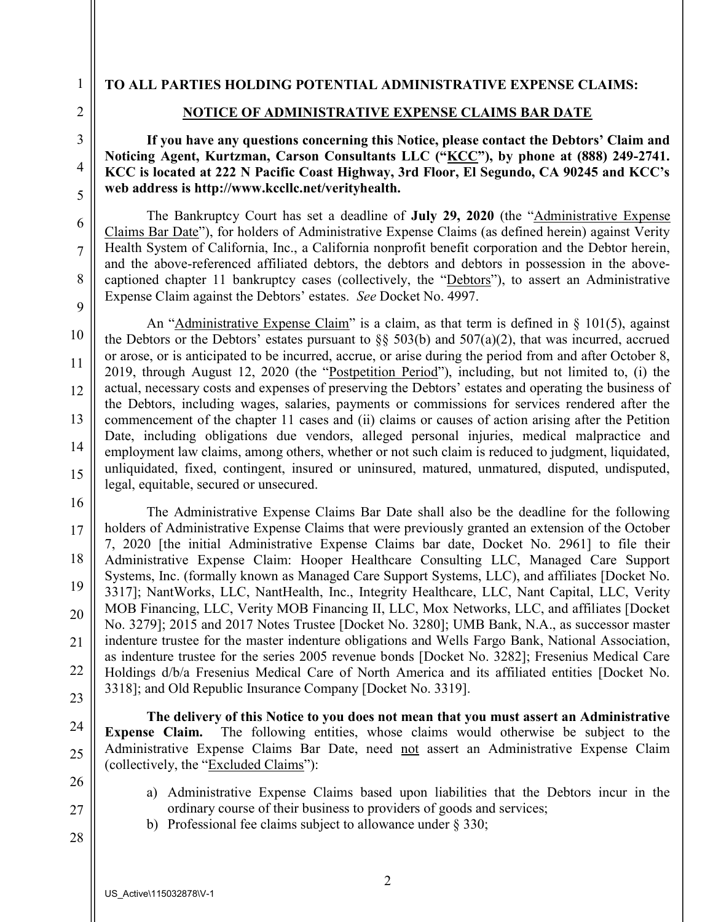1

TO ALL PARTIES HOLDING POTENTIAL ADMINISTRATIVE EXPENSE CLAIMS:

## 2

3

4

5

6

7

8

9

10

11

12

13

14

15

16

17

18

19

20

21

22

23

24

25

26

27

28

## NOTICE OF ADMINISTRATIVE EXPENSE CLAIMS BAR DATE

## If you have any questions concerning this Notice, please contact the Debtors' Claim and Noticing Agent, Kurtzman, Carson Consultants LLC ("KCC"), by phone at (888) 249-2741. KCC is located at 222 N Pacific Coast Highway, 3rd Floor, El Segundo, CA 90245 and KCC's web address is http://www.kccllc.net/verityhealth.

The Bankruptcy Court has set a deadline of July 29, 2020 (the "Administrative Expense Claims Bar Date"), for holders of Administrative Expense Claims (as defined herein) against Verity Health System of California, Inc., a California nonprofit benefit corporation and the Debtor herein, and the above-referenced affiliated debtors, the debtors and debtors in possession in the abovecaptioned chapter 11 bankruptcy cases (collectively, the "Debtors"), to assert an Administrative Expense Claim against the Debtors' estates. See Docket No. 4997.

An "Administrative Expense Claim" is a claim, as that term is defined in  $\S$  101(5), against the Debtors or the Debtors' estates pursuant to  $\S$ § 503(b) and 507(a)(2), that was incurred, accrued or arose, or is anticipated to be incurred, accrue, or arise during the period from and after October 8, 2019, through August 12, 2020 (the "Postpetition Period"), including, but not limited to, (i) the actual, necessary costs and expenses of preserving the Debtors' estates and operating the business of the Debtors, including wages, salaries, payments or commissions for services rendered after the commencement of the chapter 11 cases and (ii) claims or causes of action arising after the Petition Date, including obligations due vendors, alleged personal injuries, medical malpractice and employment law claims, among others, whether or not such claim is reduced to judgment, liquidated, unliquidated, fixed, contingent, insured or uninsured, matured, unmatured, disputed, undisputed, legal, equitable, secured or unsecured.

The Administrative Expense Claims Bar Date shall also be the deadline for the following holders of Administrative Expense Claims that were previously granted an extension of the October 7, 2020 [the initial Administrative Expense Claims bar date, Docket No. 2961] to file their Administrative Expense Claim: Hooper Healthcare Consulting LLC, Managed Care Support Systems, Inc. (formally known as Managed Care Support Systems, LLC), and affiliates [Docket No. 3317]; NantWorks, LLC, NantHealth, Inc., Integrity Healthcare, LLC, Nant Capital, LLC, Verity MOB Financing, LLC, Verity MOB Financing II, LLC, Mox Networks, LLC, and affiliates [Docket No. 3279]; 2015 and 2017 Notes Trustee [Docket No. 3280]; UMB Bank, N.A., as successor master indenture trustee for the master indenture obligations and Wells Fargo Bank, National Association, as indenture trustee for the series 2005 revenue bonds [Docket No. 3282]; Fresenius Medical Care Holdings d/b/a Fresenius Medical Care of North America and its affiliated entities [Docket No. 3318]; and Old Republic Insurance Company [Docket No. 3319].

The delivery of this Notice to you does not mean that you must assert an Administrative Expense Claim. The following entities, whose claims would otherwise be subject to the Administrative Expense Claims Bar Date, need not assert an Administrative Expense Claim (collectively, the "Excluded Claims"):

- a) Administrative Expense Claims based upon liabilities that the Debtors incur in the ordinary course of their business to providers of goods and services;
- b) Professional fee claims subject to allowance under § 330;